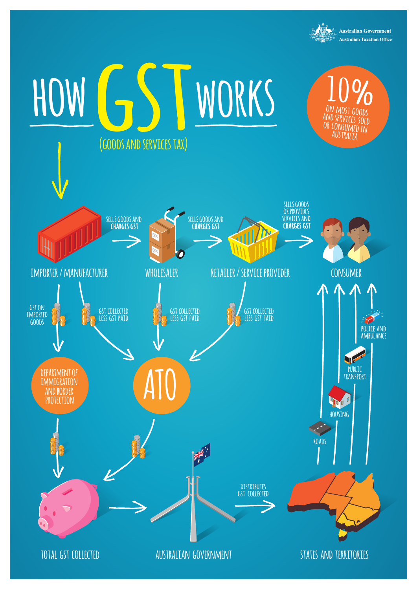